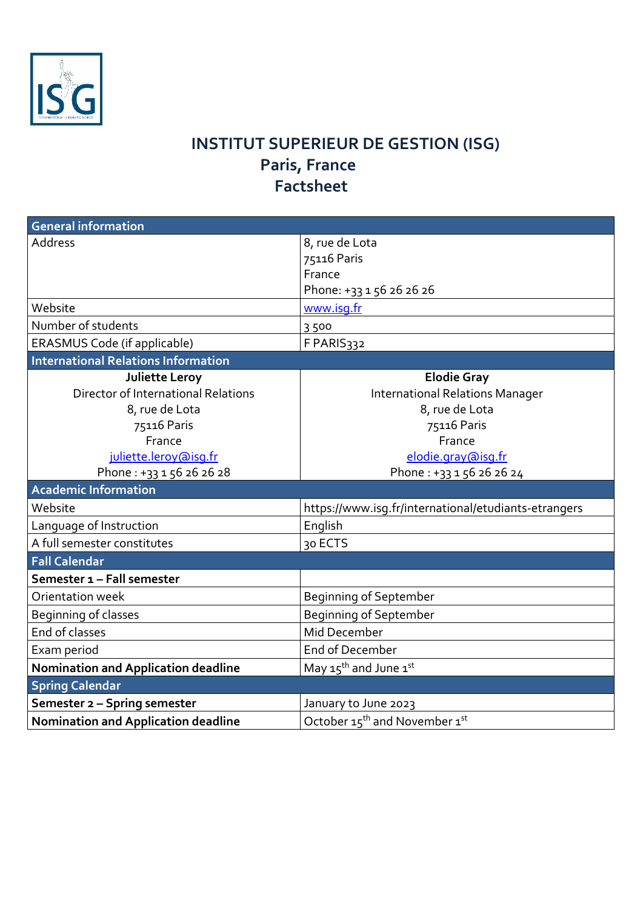

## **INSTITUT SUPERIEUR DE GESTION (ISG) Paris, France Factsheet**

| <b>General information</b>                 |                                                      |
|--------------------------------------------|------------------------------------------------------|
| <b>Address</b>                             | 8, rue de Lota                                       |
|                                            | 75116 Paris                                          |
|                                            | France                                               |
|                                            | Phone: +33 1 56 26 26 26                             |
| Website                                    | www.isq.fr                                           |
| Number of students                         | 3500                                                 |
| ERASMUS Code (if applicable)               | F PARIS332                                           |
| <b>International Relations Information</b> |                                                      |
| Juliette Leroy                             | <b>Elodie Gray</b>                                   |
| Director of International Relations        | <b>International Relations Manager</b>               |
| 8, rue de Lota                             | 8, rue de Lota                                       |
| 75116 Paris                                | 75116 Paris                                          |
| France                                     | France                                               |
| juliette.leroy@isq.fr                      | elodie.gray@isg.fr                                   |
| Phone: +33 1 56 26 26 28                   | Phone: +33 1 56 26 26 24                             |
| <b>Academic Information</b>                |                                                      |
| Website                                    | https://www.isg.fr/international/etudiants-etrangers |
| Language of Instruction                    | English                                              |
| A full semester constitutes                | 30 ECTS                                              |
| <b>Fall Calendar</b>                       |                                                      |
| Semester 1 - Fall semester                 |                                                      |
| Orientation week                           | <b>Beginning of September</b>                        |
| Beginning of classes                       | Beginning of September                               |
| End of classes                             | Mid December                                         |
| Exam period                                | End of December                                      |
| <b>Nomination and Application deadline</b> | May $15^{\text{th}}$ and June $1^{\text{st}}$        |
| <b>Spring Calendar</b>                     |                                                      |
| Semester 2 - Spring semester               | January to June 2023                                 |
| <b>Nomination and Application deadline</b> | October 15 <sup>th</sup> and November 1st            |